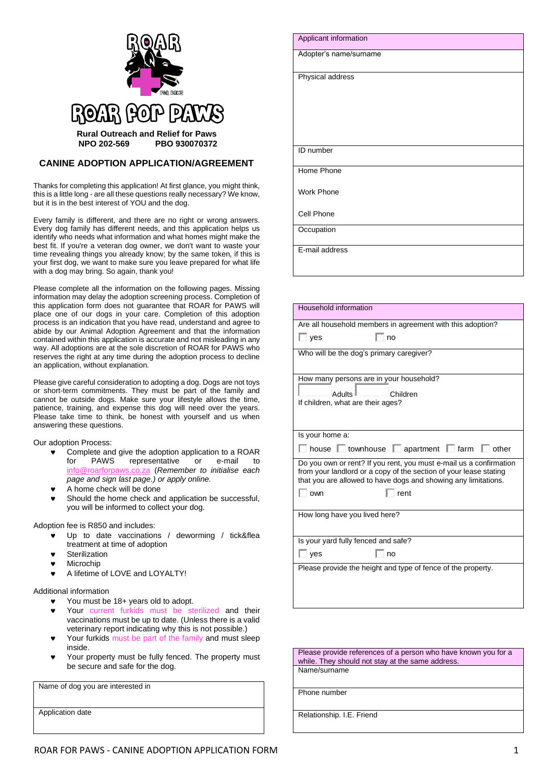

## **CANINE ADOPTION APPLICATION/AGREEMENT**

Thanks for completing this application! At first glance, you might think, this is a little long - are all these questions really necessary? We know, but it is in the best interest of YOU and the dog.

Every family is different, and there are no right or wrong answers. Every dog family has different needs, and this application helps us identify who needs what information and what homes might make the best fit. If you're a veteran dog owner, we don't want to waste your time revealing things you already know; by the same token, if this is your first dog, we want to make sure you leave prepared for what life with a dog may bring. So again, thank you!

Please complete all the information on the following pages. Missing information may delay the adoption screening process. Completion of this application form does not guarantee that ROAR for PAWS will place one of our dogs in your care. Completion of this adoption process is an indication that you have read, understand and agree to abide by our Animal Adoption Agreement and that the information contained within this application is accurate and not misleading in any way. All adoptions are at the sole discretion of ROAR for PAWS who reserves the right at any time during the adoption process to decline an application, without explanation.

Please give careful consideration to adopting a dog. Dogs are not toys or short-term commitments. They must be part of the family and cannot be outside dogs. Make sure your lifestyle allows the time, patience, training, and expense this dog will need over the years. Please take time to think, be honest with yourself and us when answering these questions.

Our adoption Process:

- Complete and give the adoption application to a ROAR<br>for PAWS representative or e-mail to for PAWS representative or e-mail to [info@roarforpaws.co.za](mailto:info@roarforpaws.co.za) (*Remember to initialise each page and sign last page.) or apply online.*
- A home check will be done
- Should the home check and application be successful, you will be informed to collect your dog.

Adoption fee is R850 and includes:

- Up to date vaccinations / deworming / tick&flea treatment at time of adoption
- **Sterilization**
- **v** Microchip
- **A lifetime of LOVE and LOYALTY!**

## Additional information

- You must be 18+ years old to adopt.
- Your current furkids must be sterilized and their vaccinations must be up to date. (Unless there is a valid veterinary report indicating why this is not possible.)
- Your furkids must be part of the family and must sleep inside.
- Your property must be fully fenced. The property must be secure and safe for the dog.

Name of dog you are interested in

Application date

| Applicant information  |
|------------------------|
| Adopter's name/surname |
| Physical address       |
|                        |
|                        |
| ID number              |
| Home Phone             |
| <b>Work Phone</b>      |
| Cell Phone             |
| Occupation             |
| E-mail address         |

| Household information                                                                                                                                                                                     |  |  |
|-----------------------------------------------------------------------------------------------------------------------------------------------------------------------------------------------------------|--|--|
| Are all household members in agreement with this adoption?                                                                                                                                                |  |  |
| $\overline{\phantom{a}}$ ves<br>no                                                                                                                                                                        |  |  |
| Who will be the dog's primary caregiver?                                                                                                                                                                  |  |  |
| How many persons are in your household?                                                                                                                                                                   |  |  |
| <b>Adults</b><br>Children                                                                                                                                                                                 |  |  |
| If children, what are their ages?                                                                                                                                                                         |  |  |
|                                                                                                                                                                                                           |  |  |
| Is your home a:                                                                                                                                                                                           |  |  |
| house $\Box$ townhouse $\Box$<br>apartment $\Box$ farm<br>$\Box$ other                                                                                                                                    |  |  |
| Do you own or rent? If you rent, you must e-mail us a confirmation<br>from your landlord or a copy of the section of your lease stating<br>that you are allowed to have dogs and showing any limitations. |  |  |
| rent<br>own                                                                                                                                                                                               |  |  |
|                                                                                                                                                                                                           |  |  |
| How long have you lived here?                                                                                                                                                                             |  |  |
| Is your yard fully fenced and safe?                                                                                                                                                                       |  |  |
| yes<br>no                                                                                                                                                                                                 |  |  |
| Please provide the height and type of fence of the property.                                                                                                                                              |  |  |
|                                                                                                                                                                                                           |  |  |

Please provide references of a person who have known you for a while. They should not stay at the same address. Name/surname

Phone number

Relationship. I.E. Friend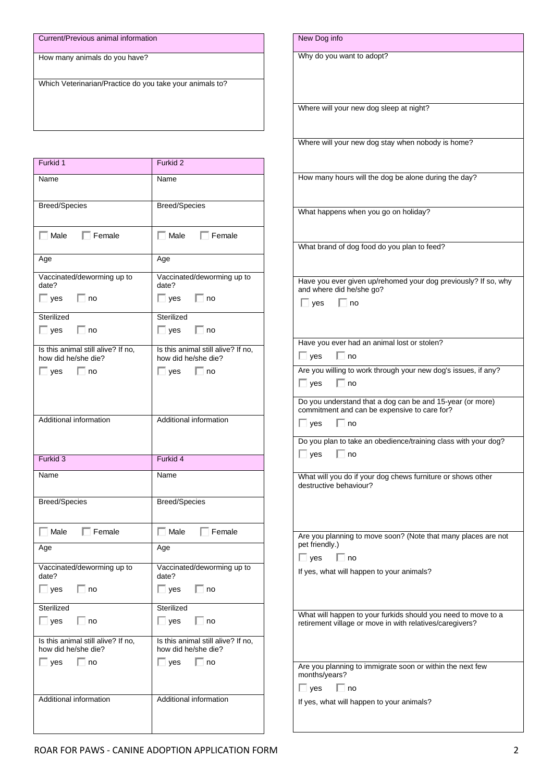| Current/Previous animal information                      |  |  |
|----------------------------------------------------------|--|--|
| How many animals do you have?                            |  |  |
| Which Veterinarian/Practice do you take your animals to? |  |  |

| Furkid 1                                                  | Furkid 2                                                  |
|-----------------------------------------------------------|-----------------------------------------------------------|
| Name                                                      | Name                                                      |
| <b>Breed/Species</b>                                      | <b>Breed/Species</b>                                      |
| $\Box$ Male $\Box$ Female                                 | $\Box$ Male $\Box$ Female                                 |
| Age                                                       | Age                                                       |
| Vaccinated/deworming up to<br>date?                       | Vaccinated/deworming up to<br>date?                       |
| $\Box$ yes<br>$\Box$ no                                   | $\Box$ yes<br>$\Box$ no                                   |
| Sterilized                                                | Sterilized                                                |
| $\Box$ yes $\Box$ no                                      | $\Box$ yes $\Box$ no                                      |
| Is this animal still alive? If no,<br>how did he/she die? | Is this animal still alive? If no,<br>how did he/she die? |
| $\Box$ no<br>$\Box$ yes                                   | $\Box$ no<br>$\Box$ yes                                   |
| Additional information                                    | Additional information                                    |
|                                                           |                                                           |
| Furkid 3                                                  | Furkid 4                                                  |
| Name                                                      | Name                                                      |
| <b>Breed/Species</b>                                      | Breed/Species                                             |
| $\Box$ Female<br>$\Box$ Male                              | $\Box$ Male<br>$\Box$ Female                              |
| Age                                                       | Age                                                       |
| Vaccinated/deworming up to<br>date?                       | Vaccinated/deworming up to<br>date?                       |
| $\Box$ yes $\Box$ no                                      | $\Box$ yes $\Box$ no                                      |
| Sterilized                                                | Sterilized                                                |
| $\Box$ yes $\Box$ no                                      | $\Box$ yes $\Box$ no                                      |
| Is this animal still alive? If no,<br>how did he/she die? | Is this animal still alive? If no,<br>how did he/she die? |
| $\Box$ yes $\Box$ no                                      | $\Box$ yes $\Box$ no                                      |
| Additional information                                    | Additional information                                    |

| New Dog info                                                                          |
|---------------------------------------------------------------------------------------|
| Why do you want to adopt?                                                             |
|                                                                                       |
| Where will your new dog sleep at night?                                               |
|                                                                                       |
| Where will your new dog stay when nobody is home?                                     |
|                                                                                       |
| How many hours will the dog be alone during the day?                                  |
| What happens when you go on holiday?                                                  |
|                                                                                       |
| What brand of dog food do you plan to feed?                                           |
| Have you ever given up/rehomed your dog previously? If so, why                        |
| and where did he/she go?                                                              |
| $\Box$ no<br>$\Box$ yes                                                               |
| Have you ever had an animal lost or stolen?                                           |
| $\Box$ yes<br>no                                                                      |
| Are you willing to work through your new dog's issues, if any?<br>$\Box$ yes<br>l⊟ no |
| Do you understand that a dog can be and 15-year (or more)                             |
| commitment and can be expensive to care for?<br>$\vert$ yes<br>no                     |
| Do you plan to take an obedience/training class with your dog?                        |
| $\Box$ yes $\Box$ no                                                                  |
| What will you do if your dog chews furniture or shows other<br>destructive behaviour? |
|                                                                                       |
|                                                                                       |
| Are you planning to move soon? (Note that many places are not<br>pet friendly.)       |
| l Ino<br>$\vert$ yes<br>If yes, what will happen to your animals?                     |
|                                                                                       |
| What will happen to your furkids should you need to move to a                         |
| retirement village or move in with relatives/caregivers?                              |
|                                                                                       |
| Are you planning to immigrate soon or within the next few<br>months/years?            |
| $\Box$ yes<br>$\Box$ no                                                               |
| If yes, what will happen to your animals?                                             |